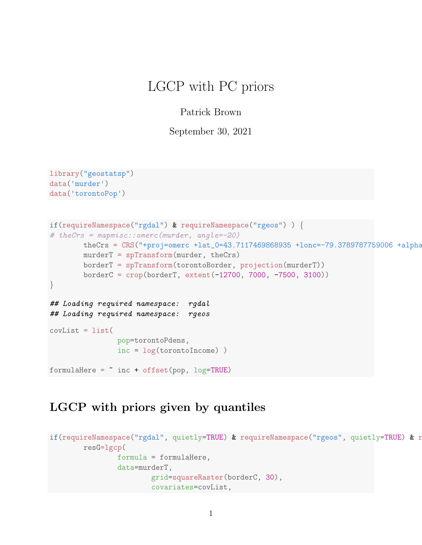# LGCP with PC priors

Patrick Brown

September 30, 2021

```
library("geostatsp")
data('murder')
data('torontoPop')
```

```
if(requireNamespace("rgdal") & requireNamespace("rgeos") ) {
# theCrs = mapmisc::omerc(murder, angle=-20)
       the Crs = CRS("+proj=omerc +lat_0=43.7117469868935 +lonc=-79.3789787759006 +alphamurderT = spTransform(murder, theCrs)
        borderT = spTransform(torontoBorder, projection(murderT))
        borderC = crop(borderT, extent(-12700, 7000, -7500, 3100))
}
## Loading required namespace: rgdal
## Loading required namespace: rgeos
covList = list(pop=torontoPdens,
                inc = log(torontoIncome) )
formulaHere = * inc + offset(pop, log=TRUE)
```
## LGCP with priors given by quantiles

```
if(requireNamespace("rgdal", quietly=TRUE) & requireNamespace("rgeos", quietly=TRUE) & r
        resG=lgcp(
                formula = formulaHere,
                data=murderT,
                        grid=squareRaster(borderC, 30),
                        covariates=covList,
```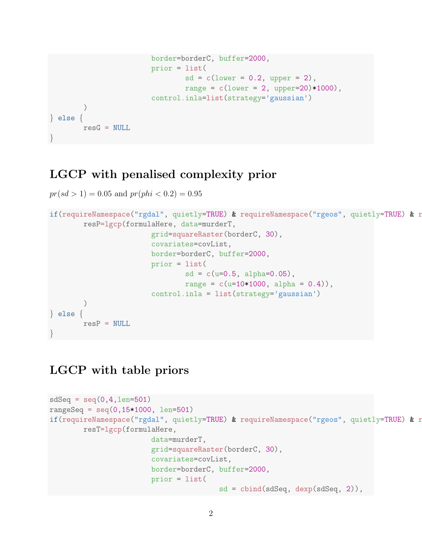```
border=borderC, buffer=2000,
                        prior = list(
                                sd = c(lower = 0.2, upper = 2),range = c(10w + 2, upper=20)*1000,
                        control.inla=list(strategy='gaussian')
       )
} else {
       resG = NULL
}
```
## LGCP with penalised complexity prior

 $pr(sl > 1) = 0.05$  and  $pr(phi < 0.2) = 0.95$ 

```
if(requireNamespace("rgdal", quietly=TRUE) & requireNamespace("rgeos", quietly=TRUE) & r
        resP=lgcp(formulaHere, data=murderT,
                        grid=squareRaster(borderC, 30),
                        covariates=covList,
                        border=borderC, buffer=2000,
                        prior = list(
                                sd = c(u=0.5, alpha=0.05),
                                range = c(u=10*1000, alpha = 0.4),
                        control.inla = list(strategy='gaussian')
        )
} else {
        resP = NULL
}
```
#### LGCP with table priors

```
sdSeq = seq(0, 4, len=501)rangeSeq = seq(0, 15*1000, len=501)if(requireNamespace("rgdal", quietly=TRUE) & requireNamespace("rgeos", quietly=TRUE) & r
        resT=lgcp(formulaHere,
                        data=murderT,
                        grid=squareRaster(borderC, 30),
                        covariates=covList,
                        border=borderC, buffer=2000,
                        prior = list(
                                         sd = cbind(sdSeq, dexp(sdSeq, 2)),
```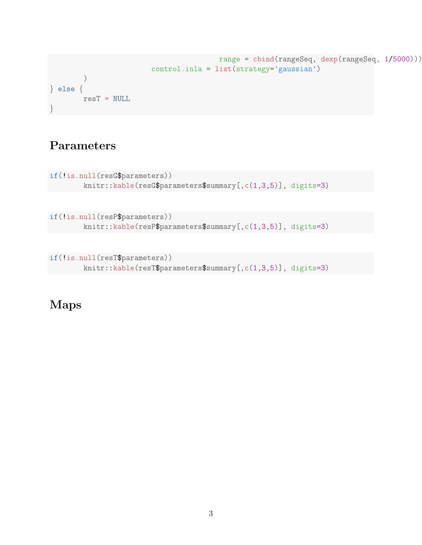```
)
} else {
        resT = NULL
}
```
# Parameters

```
if(!is.null(resG$parameters))
        knitr::kable(resG$parameters$summary[,c(1,3,5)], digits=3)
```
control.inla = list(strategy='gaussian')

range = cbind(rangeSeq, dexp(rangeSeq, 1/5000))),

```
if(!is.null(resP$parameters))
        knitr::kable(resP$parameters$summary[,c(1,3,5)], digits=3)
```

```
if(!is.null(resT$parameters))
        knitr::kable(resT$parameters$summary[,c(1,3,5)], digits=3)
```
# Maps